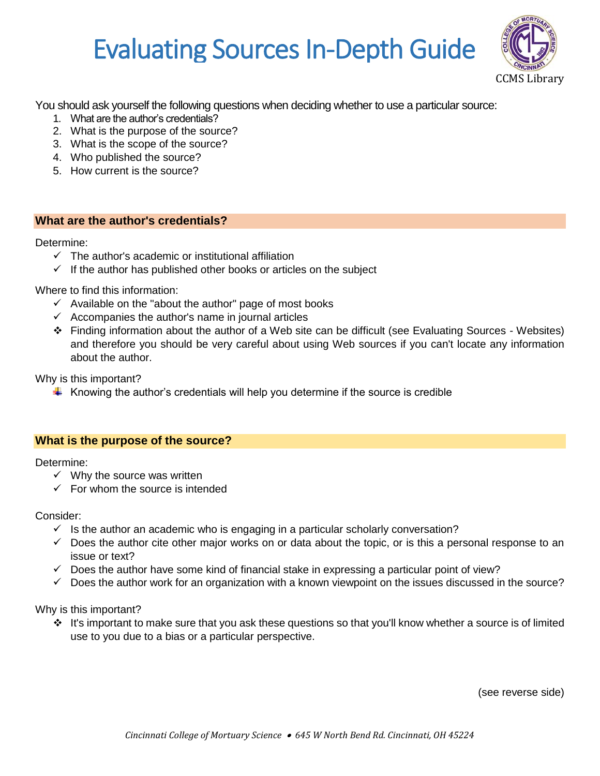# Evaluating Sources In-Depth Guide



You should ask yourself the following questions when deciding whether to use a particular source:

- 1. What are the author's credentials?
- 2. What is the purpose of the source?
- 3. What is the scope of the source?
- 4. Who published the source?
- 5. How current is the source?

## **What are the author's credentials?**

#### Determine:

- $\checkmark$  The author's academic or institutional affiliation
- $\checkmark$  If the author has published other books or articles on the subject

Where to find this information:

- $\checkmark$  Available on the "about the author" page of most books
- $\checkmark$  Accompanies the author's name in journal articles
- Finding information about the author of a Web site can be difficult (see Evaluating Sources Websites) and therefore you should be very careful about using Web sources if you can't locate any information about the author.

Why is this important?

 $\ddot{\phantom{1}}$  Knowing the author's credentials will help you determine if the source is credible

## **What is the purpose of the source?**

Determine:

- $\checkmark$  Why the source was written
- $\checkmark$  For whom the source is intended

Consider:

- $\checkmark$  Is the author an academic who is engaging in a particular scholarly conversation?
- $\checkmark$  Does the author cite other major works on or data about the topic, or is this a personal response to an issue or text?
- $\checkmark$  Does the author have some kind of financial stake in expressing a particular point of view?
- $\checkmark$  Does the author work for an organization with a known viewpoint on the issues discussed in the source?

Why is this important?

 $\cdot \cdot$  It's important to make sure that you ask these questions so that you'll know whether a source is of limited use to you due to a bias or a particular perspective.

(see reverse side)